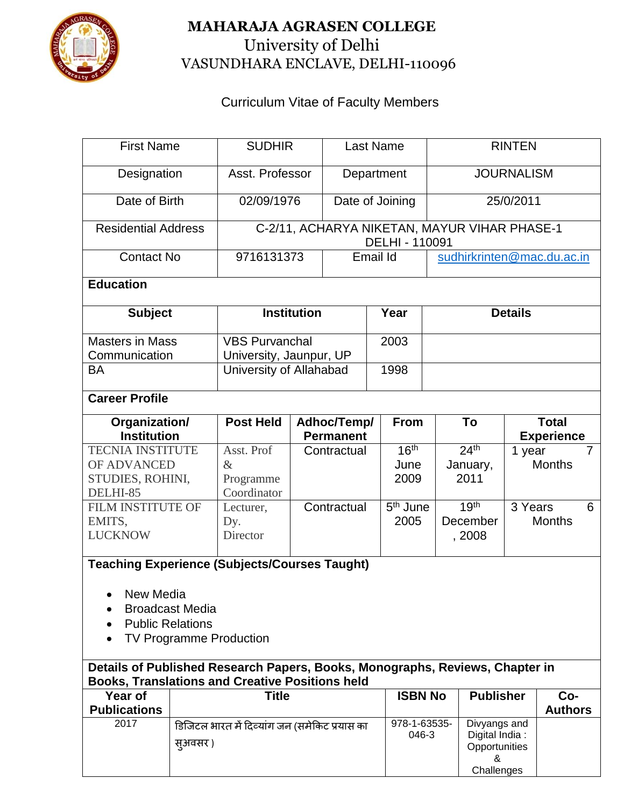

## **MAHARAJA AGRASEN COLLEGE** University of Delhi VASUNDHARA ENCLAVE, DELHI-110096

## Curriculum Vitae of Faculty Members

| <b>First Name</b>                                                                                                                      |                                              | <b>SUDHIR</b>                                 |                  | <b>Last Name</b> |                  |                | <b>RINTEN</b>              |                            |                   |                |                |
|----------------------------------------------------------------------------------------------------------------------------------------|----------------------------------------------|-----------------------------------------------|------------------|------------------|------------------|----------------|----------------------------|----------------------------|-------------------|----------------|----------------|
| Designation                                                                                                                            |                                              | Asst. Professor                               |                  | Department       |                  |                | <b>JOURNALISM</b>          |                            |                   |                |                |
|                                                                                                                                        |                                              |                                               |                  |                  |                  |                |                            |                            |                   |                |                |
| Date of Birth                                                                                                                          |                                              | 02/09/1976                                    |                  |                  | Date of Joining  |                | 25/0/2011                  |                            |                   |                |                |
| <b>Residential Address</b>                                                                                                             | C-2/11, ACHARYA NIKETAN, MAYUR VIHAR PHASE-1 |                                               |                  |                  |                  |                |                            |                            |                   |                |                |
|                                                                                                                                        |                                              |                                               |                  |                  | DELHI - 110091   |                |                            |                            |                   |                |                |
| <b>Contact No</b>                                                                                                                      |                                              | 9716131373                                    |                  |                  | Email Id         |                | sudhirkrinten@mac.du.ac.in |                            |                   |                |                |
| <b>Education</b>                                                                                                                       |                                              |                                               |                  |                  |                  |                |                            |                            |                   |                |                |
| <b>Subject</b>                                                                                                                         |                                              | <b>Institution</b>                            |                  |                  | Year             |                | <b>Details</b>             |                            |                   |                |                |
| <b>Masters in Mass</b>                                                                                                                 |                                              | <b>VBS Purvanchal</b>                         |                  |                  | 2003             |                |                            |                            |                   |                |                |
| Communication                                                                                                                          |                                              | University, Jaunpur, UP                       |                  |                  |                  |                |                            |                            |                   |                |                |
| <b>BA</b>                                                                                                                              |                                              | University of Allahabad                       |                  |                  | 1998             |                |                            |                            |                   |                |                |
| <b>Career Profile</b>                                                                                                                  |                                              |                                               |                  |                  |                  |                |                            |                            |                   |                |                |
| Organization/                                                                                                                          |                                              | <b>Post Held</b>                              | Adhoc/Temp/      |                  |                  | <b>From</b>    |                            | To                         |                   | <b>Total</b>   |                |
| <b>Institution</b>                                                                                                                     |                                              |                                               | <b>Permanent</b> |                  |                  |                |                            |                            | <b>Experience</b> |                |                |
| <b>TECNIA INSTITUTE</b>                                                                                                                |                                              | Asst. Prof                                    | Contractual      |                  | 16 <sup>th</sup> |                |                            | 24 <sup>th</sup><br>1 year |                   |                | $\overline{7}$ |
| OF ADVANCED                                                                                                                            |                                              | $\&$                                          |                  |                  |                  | June           |                            | January,<br>2011           |                   | <b>Months</b>  |                |
| STUDIES, ROHINI,<br>DELHI-85                                                                                                           |                                              | Programme<br>Coordinator                      |                  |                  |                  | 2009           |                            |                            |                   |                |                |
| FILM INSTITUTE OF                                                                                                                      |                                              | Lecturer,                                     | Contractual      |                  |                  | $5th$ June     |                            | 19 <sup>th</sup>           |                   | 3 Years        | 6              |
| EMITS,                                                                                                                                 |                                              | Dy.                                           |                  |                  |                  | 2005           |                            | December                   |                   | <b>Months</b>  |                |
| <b>LUCKNOW</b>                                                                                                                         |                                              | Director                                      |                  |                  |                  |                |                            | , 2008                     |                   |                |                |
|                                                                                                                                        |                                              |                                               |                  |                  |                  |                |                            |                            |                   |                |                |
| <b>Teaching Experience (Subjects/Courses Taught)</b>                                                                                   |                                              |                                               |                  |                  |                  |                |                            |                            |                   |                |                |
|                                                                                                                                        |                                              |                                               |                  |                  |                  |                |                            |                            |                   |                |                |
| New Media<br><b>Broadcast Media</b>                                                                                                    |                                              |                                               |                  |                  |                  |                |                            |                            |                   |                |                |
| <b>Public Relations</b>                                                                                                                |                                              |                                               |                  |                  |                  |                |                            |                            |                   |                |                |
| <b>TV Programme Production</b>                                                                                                         |                                              |                                               |                  |                  |                  |                |                            |                            |                   |                |                |
|                                                                                                                                        |                                              |                                               |                  |                  |                  |                |                            |                            |                   |                |                |
| Details of Published Research Papers, Books, Monographs, Reviews, Chapter in<br><b>Books, Translations and Creative Positions held</b> |                                              |                                               |                  |                  |                  |                |                            |                            |                   |                |                |
| Year of                                                                                                                                | <b>Title</b>                                 |                                               |                  |                  |                  | <b>ISBN No</b> |                            | <b>Publisher</b>           |                   | Co-            |                |
| <b>Publications</b>                                                                                                                    |                                              |                                               |                  |                  |                  |                |                            |                            |                   | <b>Authors</b> |                |
| 2017                                                                                                                                   |                                              | डिजिटल भारत में दिव्यांग जन (समेकिट प्रयास का |                  |                  |                  | 978-1-63535-   |                            | Divyangs and               |                   |                |                |
|                                                                                                                                        |                                              |                                               |                  |                  | 046-3            |                | Digital India:             |                            |                   |                |                |
|                                                                                                                                        | स्अवसर )                                     |                                               |                  |                  |                  |                |                            | Opportunities<br>&         |                   |                |                |

**Challenges**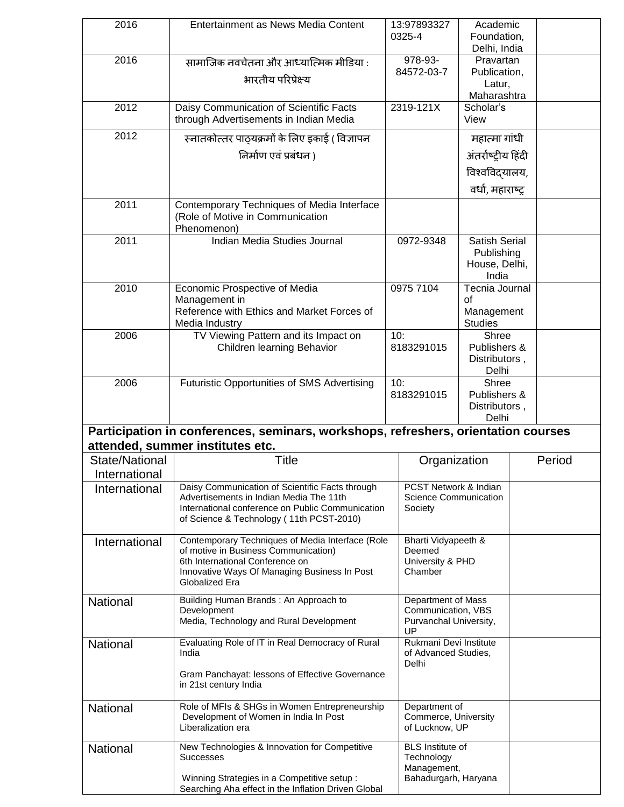| 2016           | Entertainment as News Media Content                                                                |           | 13:97893327                                    | Academic               |  |        |
|----------------|----------------------------------------------------------------------------------------------------|-----------|------------------------------------------------|------------------------|--|--------|
|                |                                                                                                    |           | 0325-4                                         | Foundation,            |  |        |
|                |                                                                                                    |           | 978-93-                                        | Delhi, India           |  |        |
| 2016           | सामाजिक नवचेतना और आध्यात्मिक मीडिया :                                                             |           | Pravartan<br>84572-03-7<br>Publication,        |                        |  |        |
|                | भारतीय परिप्रेक्ष्य                                                                                |           |                                                | Latur,                 |  |        |
|                |                                                                                                    |           |                                                | Maharashtra            |  |        |
| 2012           | Daisy Communication of Scientific Facts                                                            |           | $2319 - 121X$                                  | Scholar's              |  |        |
|                | through Advertisements in Indian Media                                                             |           |                                                | View                   |  |        |
| 2012           | स्नातकोत्तर पाठ्यक्रमों के लिए इकाई ( विज्ञापन                                                     |           | महात्मा गांधी                                  |                        |  |        |
|                | निर्माण एवं प्रबंधन )                                                                              |           | अंतर्राष्ट्रीय हिंदी                           |                        |  |        |
|                |                                                                                                    |           |                                                | विश्वविद्यालय,         |  |        |
|                |                                                                                                    |           | वर्धा, महाराष्ट्र                              |                        |  |        |
| 2011           | Contemporary Techniques of Media Interface                                                         |           |                                                |                        |  |        |
|                | (Role of Motive in Communication                                                                   |           |                                                |                        |  |        |
|                | Phenomenon)                                                                                        |           |                                                |                        |  |        |
| 2011           | Indian Media Studies Journal                                                                       | 0972-9348 |                                                | Satish Serial          |  |        |
|                |                                                                                                    |           | Publishing                                     |                        |  |        |
|                |                                                                                                    |           |                                                | House, Delhi,<br>India |  |        |
| 2010           | Economic Prospective of Media                                                                      |           | 0975 7104                                      | Tecnia Journal         |  |        |
|                | Management in                                                                                      |           |                                                | of                     |  |        |
|                | Reference with Ethics and Market Forces of                                                         |           |                                                | Management             |  |        |
|                | Media Industry                                                                                     |           |                                                | <b>Studies</b>         |  |        |
| 2006           | TV Viewing Pattern and its Impact on<br>Children learning Behavior                                 | 10:       | 8183291015                                     | Shree<br>Publishers &  |  |        |
|                |                                                                                                    |           |                                                | Distributors,          |  |        |
|                |                                                                                                    |           |                                                | Delhi                  |  |        |
| 2006           | Futuristic Opportunities of SMS Advertising                                                        | 10:       |                                                | Shree                  |  |        |
|                |                                                                                                    |           | 8183291015                                     | Publishers &           |  |        |
|                |                                                                                                    |           |                                                | Distributors,<br>Delhi |  |        |
|                | Participation in conferences, seminars, workshops, refreshers, orientation courses                 |           |                                                |                        |  |        |
|                | attended, summer institutes etc.                                                                   |           |                                                |                        |  |        |
| State/National | Title                                                                                              |           | Organization                                   |                        |  | Period |
| International  |                                                                                                    |           |                                                |                        |  |        |
| International  |                                                                                                    |           |                                                |                        |  |        |
|                |                                                                                                    |           |                                                |                        |  |        |
|                | Daisy Communication of Scientific Facts through<br>Advertisements in Indian Media The 11th         |           | PCST Network & Indian<br>Science Communication |                        |  |        |
|                | International conference on Public Communication                                                   |           | Society                                        |                        |  |        |
|                | of Science & Technology (11th PCST-2010)                                                           |           |                                                |                        |  |        |
| International  | Contemporary Techniques of Media Interface (Role                                                   |           | Bharti Vidyapeeth &                            |                        |  |        |
|                | of motive in Business Communication)                                                               |           | Deemed                                         |                        |  |        |
|                | 6th International Conference on<br>Innovative Ways Of Managing Business In Post                    |           | University & PHD<br>Chamber                    |                        |  |        |
|                | Globalized Era                                                                                     |           |                                                |                        |  |        |
|                | Building Human Brands: An Approach to                                                              |           | Department of Mass                             |                        |  |        |
| National       | Development                                                                                        |           | Communication, VBS                             |                        |  |        |
|                | Media, Technology and Rural Development                                                            |           | Purvanchal University,                         |                        |  |        |
| National       | Evaluating Role of IT in Real Democracy of Rural                                                   |           | UP<br>Rukmani Devi Institute                   |                        |  |        |
|                | India                                                                                              |           | of Advanced Studies,                           |                        |  |        |
|                |                                                                                                    |           | Delhi                                          |                        |  |        |
|                | Gram Panchayat: lessons of Effective Governance<br>in 21st century India                           |           |                                                |                        |  |        |
|                |                                                                                                    |           |                                                |                        |  |        |
| National       | Role of MFIs & SHGs in Women Entrepreneurship                                                      |           | Department of                                  |                        |  |        |
|                | Development of Women in India In Post<br>Liberalization era                                        |           | Commerce, University<br>of Lucknow, UP         |                        |  |        |
|                |                                                                                                    |           |                                                |                        |  |        |
| National       | New Technologies & Innovation for Competitive<br>Successes                                         |           | <b>BLS</b> Institute of<br>Technology          |                        |  |        |
|                |                                                                                                    |           | Management,                                    |                        |  |        |
|                | Winning Strategies in a Competitive setup :<br>Searching Aha effect in the Inflation Driven Global |           | Bahadurgarh, Haryana                           |                        |  |        |